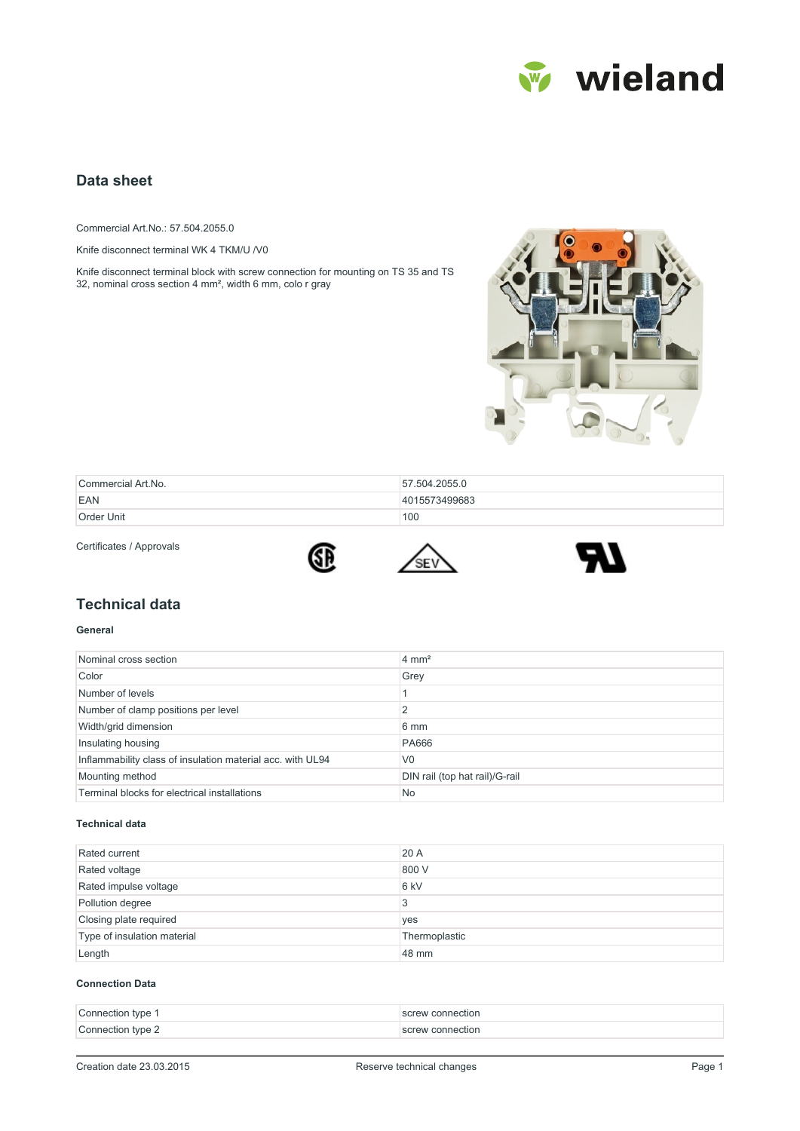

# **Data sheet**

Commercial Art.No.: 57.504.2055.0

Knife disconnect terminal WK 4 TKM/U /V0

Knife disconnect terminal block with screw connection for mounting on TS 35 and TS 32, nominal cross section 4 mm², width 6 mm, colo r gray



| Commercial Art.No. | 57.504.2055.0 |
|--------------------|---------------|
| EAN                | 4015573499683 |
| Order Unit         | 100           |

Certificates / Approvals







## **Technical data**

#### **General**

| Nominal cross section                                      | $4 \text{ mm}^2$               |
|------------------------------------------------------------|--------------------------------|
| Color                                                      | Grey                           |
| Number of levels                                           |                                |
| Number of clamp positions per level                        | C                              |
| Width/grid dimension                                       | 6 mm                           |
| Insulating housing                                         | <b>PA666</b>                   |
| Inflammability class of insulation material acc. with UL94 | V <sub>0</sub>                 |
| Mounting method                                            | DIN rail (top hat rail)/G-rail |
| Terminal blocks for electrical installations               | No.                            |

#### **Technical data**

| Rated current               | 20 A            |
|-----------------------------|-----------------|
| Rated voltage               | 800 V           |
| Rated impulse voltage       | 6 <sub>kV</sub> |
| Pollution degree            | 3               |
| Closing plate required      | yes             |
| Type of insulation material | Thermoplastic   |
| Length                      | 48 mm           |

#### **Connection Data**

| Connection type 1 | screw connection |
|-------------------|------------------|
| Connection type 2 | screw connection |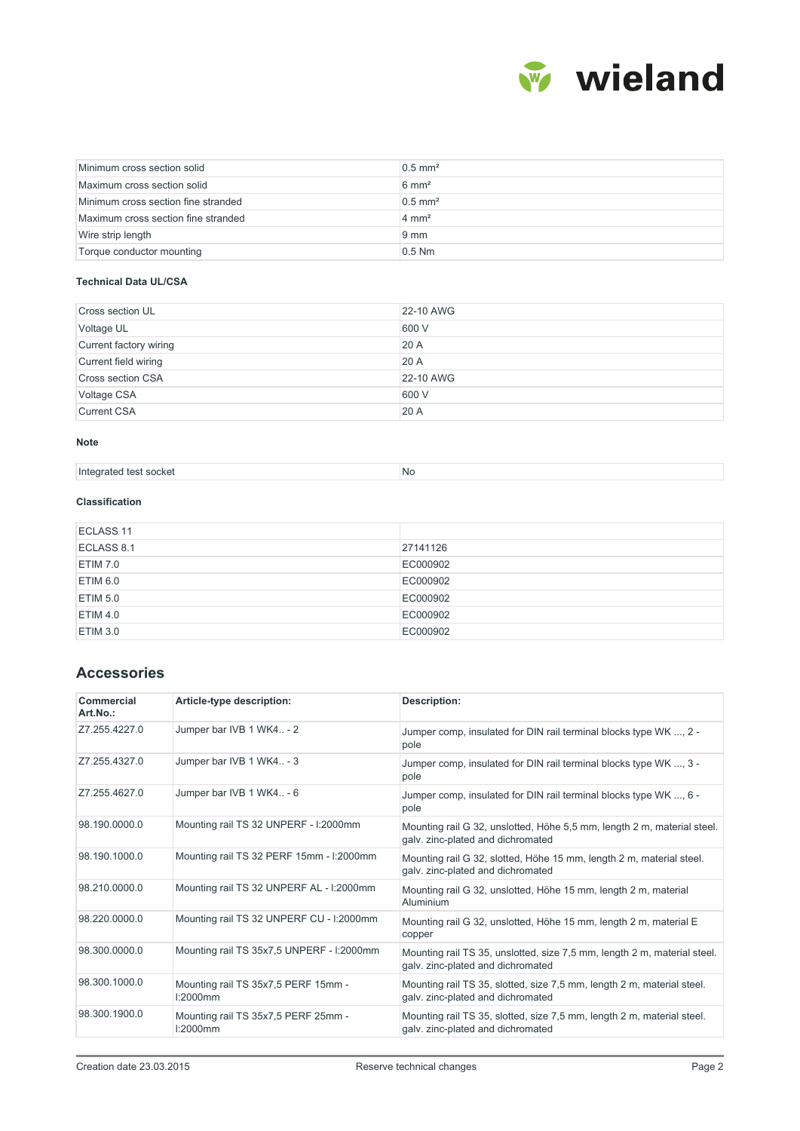

| Minimum cross section solid         | $0.5$ mm <sup>2</sup> |
|-------------------------------------|-----------------------|
| Maximum cross section solid         | $6 \text{ mm}^2$      |
| Minimum cross section fine stranded | $0.5$ mm <sup>2</sup> |
| Maximum cross section fine stranded | $4 \text{ mm}^2$      |
| Wire strip length                   | $9 \text{ mm}$        |
| Torque conductor mounting           | $0.5$ Nm              |

#### **Technical Data UL/CSA**

| <b>Cross section UL</b>  | 22-10 AWG |
|--------------------------|-----------|
| Voltage UL               | 600 V     |
| Current factory wiring   | 20 A      |
| Current field wiring     | 20 A      |
| <b>Cross section CSA</b> | 22-10 AWG |
| Voltage CSA              | 600 V     |
| <b>Current CSA</b>       | 20 A      |

#### **Note**

| ' COOKOI<br>earated<br>test<br><b>INT</b><br>. SUUNGI<br>. .<br>. | .Nc |
|-------------------------------------------------------------------|-----|
|-------------------------------------------------------------------|-----|

### **Classification**

| ECLASS 11  |          |
|------------|----------|
| ECLASS 8.1 | 27141126 |
| ETIM 7.0   | EC000902 |
| ETIM 6.0   | EC000902 |
| ETIM 5.0   | EC000902 |
| ETIM 4.0   | EC000902 |
| ETIM 3.0   | EC000902 |

# **Accessories**

| Commercial<br>Art.No.: | Article-type description:                          | Description:                                                                                                  |
|------------------------|----------------------------------------------------|---------------------------------------------------------------------------------------------------------------|
| Z7.255.4227.0          | Jumper bar IVB 1 WK4 - 2                           | Jumper comp, insulated for DIN rail terminal blocks type WK , 2 -<br>pole                                     |
| Z7.255.4327.0          | Jumper bar IVB 1 WK4 - 3                           | Jumper comp, insulated for DIN rail terminal blocks type WK , 3 -<br>pole                                     |
| Z7.255.4627.0          | Jumper bar IVB 1 WK4 - 6                           | Jumper comp, insulated for DIN rail terminal blocks type WK , 6 -<br>pole                                     |
| 98.190.0000.0          | Mounting rail TS 32 UNPERF - I:2000mm              | Mounting rail G 32, unslotted, Höhe 5,5 mm, length 2 m, material steel.<br>galv. zinc-plated and dichromated  |
| 98.190.1000.0          | Mounting rail TS 32 PERF 15mm - I:2000mm           | Mounting rail G 32, slotted, Höhe 15 mm, length 2 m, material steel.<br>galv. zinc-plated and dichromated     |
| 98.210.0000.0          | Mounting rail TS 32 UNPERF AL - I:2000mm           | Mounting rail G 32, unslotted, Höhe 15 mm, length 2 m, material<br>Aluminium                                  |
| 98.220.0000.0          | Mounting rail TS 32 UNPERF CU - I:2000mm           | Mounting rail G 32, unslotted, Höhe 15 mm, length 2 m, material E<br>copper                                   |
| 98.300.0000.0          | Mounting rail TS 35x7,5 UNPERF - I:2000mm          | Mounting rail TS 35, unslotted, size 7,5 mm, length 2 m, material steel.<br>galv. zinc-plated and dichromated |
| 98.300.1000.0          | Mounting rail TS 35x7,5 PERF 15mm -<br>$1:2000$ mm | Mounting rail TS 35, slotted, size 7,5 mm, length 2 m, material steel.<br>galv. zinc-plated and dichromated   |
| 98.300.1900.0          | Mounting rail TS 35x7,5 PERF 25mm -<br>l:2000mm    | Mounting rail TS 35, slotted, size 7,5 mm, length 2 m, material steel.<br>galv. zinc-plated and dichromated   |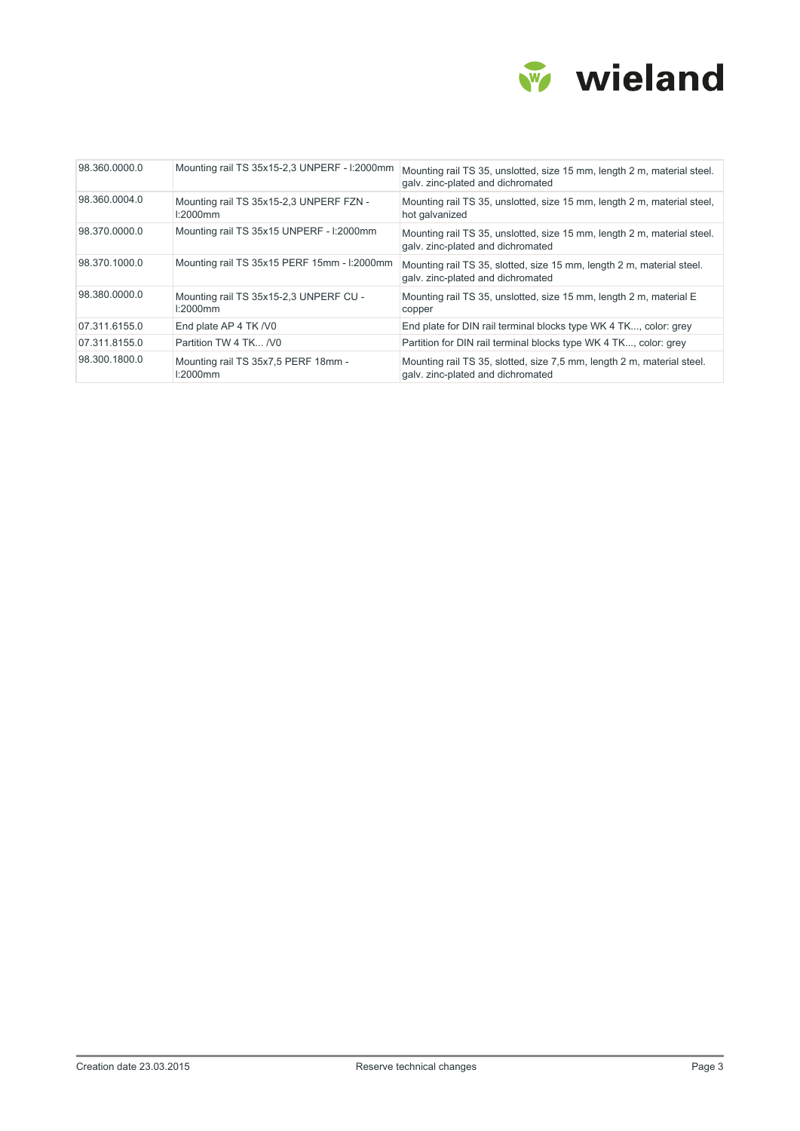

| 98.360.0000.0 | Mounting rail TS 35x15-2,3 UNPERF - I:2000mm        | Mounting rail TS 35, unslotted, size 15 mm, length 2 m, material steel.<br>galv. zinc-plated and dichromated |
|---------------|-----------------------------------------------------|--------------------------------------------------------------------------------------------------------------|
| 98.360.0004.0 | Mounting rail TS 35x15-2,3 UNPERF FZN -<br>l:2000mm | Mounting rail TS 35, unslotted, size 15 mm, length 2 m, material steel,<br>hot galvanized                    |
| 98.370.0000.0 | Mounting rail TS 35x15 UNPERF - I:2000mm            | Mounting rail TS 35, unslotted, size 15 mm, length 2 m, material steel.<br>galv. zinc-plated and dichromated |
| 98.370.1000.0 | Mounting rail TS 35x15 PERF 15mm - I:2000mm         | Mounting rail TS 35, slotted, size 15 mm, length 2 m, material steel.<br>galv. zinc-plated and dichromated   |
| 98.380.0000.0 | Mounting rail TS 35x15-2,3 UNPERF CU -<br>l:2000mm  | Mounting rail TS 35, unslotted, size 15 mm, length 2 m, material E<br>copper                                 |
| 07.311.6155.0 | End plate AP 4 TK /V0                               | End plate for DIN rail terminal blocks type WK 4 TK, color: grey                                             |
| 07.311.8155.0 | Partition TW 4 TK /V0                               | Partition for DIN rail terminal blocks type WK 4 TK, color: grey                                             |
| 98.300.1800.0 | Mounting rail TS 35x7,5 PERF 18mm -<br>l:2000mm     | Mounting rail TS 35, slotted, size 7,5 mm, length 2 m, material steel.<br>galv. zinc-plated and dichromated  |